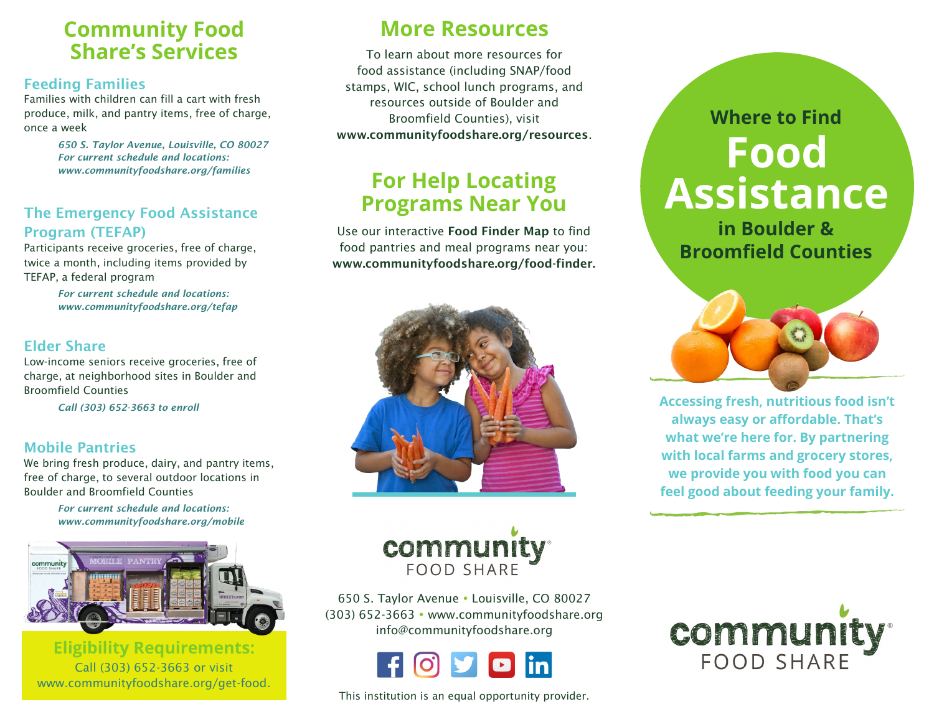### **Community Food Share's Services**

### **Feeding Families**

Families with children can fill a cart with fresh produce, milk, and pantry items, free of charge, once a week

> *650 S. Taylor Avenue, Louisville, CO 80027 For current schedule and locations: www.communityfoodshare.org/families*

### **The Emergency Food Assistance Program (TEFAP)**

Participants receive groceries, free of charge, twice a month, including items provided by TEFAP, a federal program

> *For current schedule and locations: www.communityfoodshare.org/tefap*

### **Elder Share**

Low-income seniors receive groceries, free of charge, at neighborhood sites in Boulder and Broomfield Counties

*Call (303) 652-3663 to enroll*

### **Mobile Pantries**

We bring fresh produce, dairy, and pantry items, free of charge, to several outdoor locations in Boulder and Broomfield Counties

> *For current schedule and locations: www.communityfoodshare.org/mobile*



**Eligibility Requirements:**  Call (303) 652-3663 or visit www.communityfoodshare.org/get-food.

### **More Resources**

To learn about more resources for food assistance (including SNAP/food stamps, WIC, school lunch programs, and resources outside of Boulder and Broomfield Counties), visit **www.communityfoodshare.org/resources**.

### **For Help Locating Programs Near You**

Use our interactive **Food Finder Map** to find food pantries and meal programs near you: **www.communityfoodshare.org/food-finder.**



# **Where to Find Food Assistance**

**in Boulder & Broomfield Counties**



**Accessing fresh, nutritious food isn't always easy or affordable. That's what we're here for. By partnering with local farms and grocery stores, we provide you with food you can feel good about feeding your family.**



650 S. Taylor Avenue Louisville, CO 80027 (303) 652-3663 www.communityfoodshare.org info@communityfoodshare.org



This institution is an equal opportunity provider.